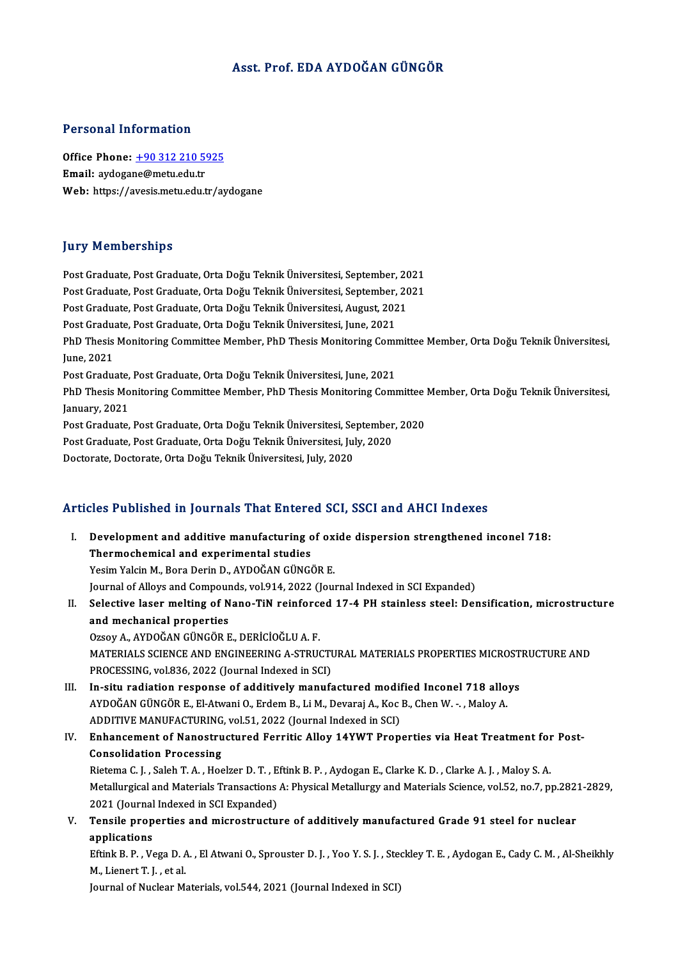# Asst. Prof. EDA AYDOĞAN GÜNGÖR

### Personal Information

Personal Information<br>Office Phone: <u>+90 312 210 5925</u><br>Email: avdesane@metu.edu.tr Procedure Hirochiaction<br>Office Phone: <u>+90 312 210 5</u><br>Email: aydoga[ne@metu.edu.tr](tel:+90 312 210 5925) Email: aydogane@metu.edu.tr<br>Web: https://avesis.metu.edu.tr/aydogane

### **Jury Memberships**

Post Graduate, Post Graduate, Orta Doğu Teknik Üniversitesi, September, 2021 pary Fromborompo<br>Post Graduate, Post Graduate, Orta Doğu Teknik Üniversitesi, September, 2021<br>Post Graduate, Post Graduate, Orta Doğu Teknik Üniversitesi, September, 2021<br>Post Graduate, Post Graduate, Orta Doğu Teknik Üniv Post Graduate, Post Graduate, Orta Doğu Teknik Üniversitesi, September, 20<br>Post Graduate, Post Graduate, Orta Doğu Teknik Üniversitesi, September, 20<br>Post Graduate, Post Graduate, Orta Doğu Teknik Üniversitesi, August, 202 Post Graduate, Post Graduate, Orta Doğu Teknik Üniversitesi, September,<br>Post Graduate, Post Graduate, Orta Doğu Teknik Üniversitesi, August, 202<br>Post Graduate, Post Graduate, Orta Doğu Teknik Üniversitesi, June, 2021<br>PhD T Post Graduate, Post Graduate, Orta Doğu Teknik Üniversitesi, August, 2021<br>Post Graduate, Post Graduate, Orta Doğu Teknik Üniversitesi, June, 2021<br>PhD Thesis Monitoring Committee Member, PhD Thesis Monitoring Committee Memb Post Gradu<br>PhD Thesis<br>June, 2021<br>Post Cradu PhD Thesis Monitoring Committee Member, PhD Thesis Monitoring Comm<br>June, 2021<br>Post Graduate, Post Graduate, Orta Doğu Teknik Üniversitesi, June, 2021<br>PhD Thesis Monitoring Committee Member, PhD Thesis Monitoring Comm June, 2021<br>Post Graduate, Post Graduate, Orta Doğu Teknik Üniversitesi, June, 2021<br>PhD Thesis Monitoring Committee Member, PhD Thesis Monitoring Committee Member, Orta Doğu Teknik Üniversitesi, Post Graduate,<br>PhD Thesis Mo<br>January, 2021<br>Post Craduate PhD Thesis Monitoring Committee Member, PhD Thesis Monitoring Committee<br>January, 2021<br>Post Graduate, Post Graduate, Orta Doğu Teknik Üniversitesi, September, 2020<br>Post Craduate, Post Craduate, Orta Doğu Teknik Üniversitesi January, 2021<br>Post Graduate, Post Graduate, Orta Doğu Teknik Üniversitesi, September<br>Post Graduate, Post Graduate, Orta Doğu Teknik Üniversitesi, July, 2020<br>Posterate, Dosterate, Orta Doğu Telmik Üniversitesi, July, 2020 Post Graduate, Post Graduate, Orta Doğu Teknik Üniversitesi, Se<br>Post Graduate, Post Graduate, Orta Doğu Teknik Üniversitesi, Jul<br>Doctorate, Doctorate, Orta Doğu Teknik Üniversitesi, July, 2020

# Doctorate, Doctorate, Orta Dogu Teknik Universitesi, July, 2020<br>Articles Published in Journals That Entered SCI, SSCI and AHCI Indexes

| Articles Published in Journals That Entered SCI, SSCI and AHCI Indexes |                                                                                                                            |  |
|------------------------------------------------------------------------|----------------------------------------------------------------------------------------------------------------------------|--|
| Ι.                                                                     | Development and additive manufacturing of oxide dispersion strengthened inconel 718:                                       |  |
|                                                                        | Thermochemical and experimental studies                                                                                    |  |
|                                                                        | Yesim Yalcin M., Bora Derin D., AYDOĞAN GÜNGÖR E.                                                                          |  |
|                                                                        | Journal of Alloys and Compounds, vol.914, 2022 (Journal Indexed in SCI Expanded)                                           |  |
| Н.                                                                     | Selective laser melting of Nano-TiN reinforced 17-4 PH stainless steel: Densification, microstructure                      |  |
|                                                                        | and mechanical properties                                                                                                  |  |
|                                                                        | Ozsoy A., AYDOĞAN GÜNGÖR E., DERİCİOĞLU A. F.                                                                              |  |
|                                                                        | MATERIALS SCIENCE AND ENGINEERING A-STRUCTURAL MATERIALS PROPERTIES MICROSTRUCTURE AND                                     |  |
|                                                                        | PROCESSING, vol.836, 2022 (Journal Indexed in SCI)                                                                         |  |
| III.                                                                   | In-situ radiation response of additively manufactured modified Inconel 718 alloys                                          |  |
|                                                                        | AYDOĞAN GÜNGÖR E., El-Atwani O., Erdem B., Li M., Devaraj A., Koc B., Chen W. - ., Maloy A.                                |  |
|                                                                        | ADDITIVE MANUFACTURING, vol.51, 2022 (Journal Indexed in SCI)                                                              |  |
| IV.                                                                    | Enhancement of Nanostructured Ferritic Alloy 14YWT Properties via Heat Treatment for Post-                                 |  |
|                                                                        | <b>Consolidation Processing</b>                                                                                            |  |
|                                                                        | Rietema C. J., Saleh T. A., Hoelzer D. T., Eftink B. P., Aydogan E., Clarke K. D., Clarke A. J., Maloy S. A.               |  |
|                                                                        | Metallurgical and Materials Transactions A: Physical Metallurgy and Materials Science, vol.52, no.7, pp.2821-2829,         |  |
|                                                                        | 2021 (Journal Indexed in SCI Expanded)                                                                                     |  |
| V.                                                                     | Tensile properties and microstructure of additively manufactured Grade 91 steel for nuclear                                |  |
|                                                                        | applications                                                                                                               |  |
|                                                                        | Eftink B. P., Vega D. A., El Atwani O., Sprouster D. J., Yoo Y. S. J., Steckley T. E., Aydogan E., Cady C. M., Al-Sheikhly |  |
|                                                                        | M., Lienert T. J., et al.                                                                                                  |  |
|                                                                        | Journal of Nuclear Materials, vol.544, 2021 (Journal Indexed in SCI)                                                       |  |
|                                                                        |                                                                                                                            |  |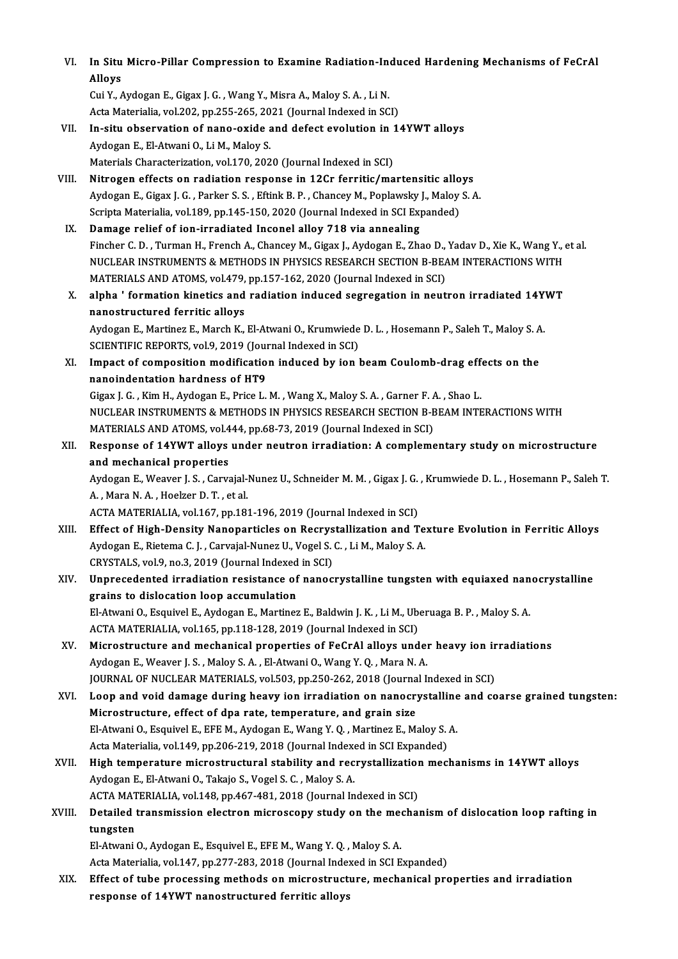| VI.    | In Situ Micro-Pillar Compression to Examine Radiation-Induced Hardening Mechanisms of FeCrAl                      |
|--------|-------------------------------------------------------------------------------------------------------------------|
|        | Alloys                                                                                                            |
|        | Cui Y., Aydogan E., Gigax J. G., Wang Y., Misra A., Maloy S. A., Li N.                                            |
|        | Acta Materialia, vol.202, pp.255-265, 2021 (Journal Indexed in SCI)                                               |
| VII.   | In-situ observation of nano-oxide and defect evolution in 14YWT alloys                                            |
|        | Aydogan E., El-Atwani O., Li M., Maloy S.                                                                         |
|        | Materials Characterization, vol.170, 2020 (Journal Indexed in SCI)                                                |
| VIII.  | Nitrogen effects on radiation response in 12Cr ferritic/martensitic alloys                                        |
|        | Aydogan E., Gigax J. G., Parker S. S., Eftink B. P., Chancey M., Poplawsky J., Maloy S. A.                        |
|        | Scripta Materialia, vol.189, pp.145-150, 2020 (Journal Indexed in SCI Expanded)                                   |
| IX.    | Damage relief of ion-irradiated Inconel alloy 718 via annealing                                                   |
|        | Fincher C. D., Turman H., French A., Chancey M., Gigax J., Aydogan E., Zhao D., Yadav D., Xie K., Wang Y., et al. |
|        | NUCLEAR INSTRUMENTS & METHODS IN PHYSICS RESEARCH SECTION B-BEAM INTERACTIONS WITH                                |
|        | MATERIALS AND ATOMS, vol.479, pp.157-162, 2020 (Journal Indexed in SCI)                                           |
| X.     | alpha ' formation kinetics and radiation induced segregation in neutron irradiated 14YWT                          |
|        | nanostructured ferritic alloys                                                                                    |
|        | Aydogan E., Martinez E., March K., El-Atwani O., Krumwiede D. L., Hosemann P., Saleh T., Maloy S. A.              |
|        | SCIENTIFIC REPORTS, vol.9, 2019 (Journal Indexed in SCI)                                                          |
| XI.    | Impact of composition modification induced by ion beam Coulomb-drag effects on the                                |
|        | nanoindentation hardness of HT9                                                                                   |
|        | Gigax J. G., Kim H., Aydogan E., Price L. M., Wang X., Maloy S. A., Garner F. A., Shao L.                         |
|        | NUCLEAR INSTRUMENTS & METHODS IN PHYSICS RESEARCH SECTION B-BEAM INTERACTIONS WITH                                |
|        | MATERIALS AND ATOMS, vol.444, pp.68-73, 2019 (Journal Indexed in SCI)                                             |
| XII.   | Response of 14YWT alloys under neutron irradiation: A complementary study on microstructure                       |
|        | and mechanical properties                                                                                         |
|        | Aydogan E., Weaver J. S., Carvajal-Nunez U., Schneider M. M., Gigax J. G., Krumwiede D. L., Hosemann P., Saleh T  |
|        | A., Mara N.A., Hoelzer D.T., et al.                                                                               |
|        | ACTA MATERIALIA, vol.167, pp.181-196, 2019 (Journal Indexed in SCI)                                               |
| XIII.  | Effect of High-Density Nanoparticles on Recrystallization and Texture Evolution in Ferritic Alloys                |
|        | Aydogan E., Rietema C. J., Carvajal-Nunez U., Vogel S. C., Li M., Maloy S. A.                                     |
|        | CRYSTALS, vol 9, no 3, 2019 (Journal Indexed in SCI)                                                              |
| XIV.   | Unprecedented irradiation resistance of nanocrystalline tungsten with equiaxed nanocrystalline                    |
|        | grains to dislocation loop accumulation                                                                           |
|        | El-Atwani O., Esquivel E., Aydogan E., Martinez E., Baldwin J. K., Li M., Uberuaga B. P., Maloy S. A.             |
|        | ACTA MATERIALIA, vol.165, pp.118-128, 2019 (Journal Indexed in SCI)                                               |
| XV.    | Microstructure and mechanical properties of FeCrAl alloys under heavy ion irradiations                            |
|        | Aydogan E., Weaver J. S., Maloy S. A., El-Atwani O., Wang Y. Q., Mara N. A.                                       |
|        | JOURNAL OF NUCLEAR MATERIALS, vol.503, pp.250-262, 2018 (Journal Indexed in SCI)                                  |
| XVI.   | Loop and void damage during heavy ion irradiation on nanocrystalline and coarse grained tungsten:                 |
|        | Microstructure, effect of dpa rate, temperature, and grain size                                                   |
|        | El-Atwani O., Esquivel E., EFE M., Aydogan E., Wang Y. Q., Martinez E., Maloy S. A.                               |
|        | Acta Materialia, vol.149, pp.206-219, 2018 (Journal Indexed in SCI Expanded)                                      |
| XVII.  | High temperature microstructural stability and recrystallization mechanisms in 14YWT alloys                       |
|        | Aydogan E., El-Atwani O., Takajo S., Vogel S. C., Maloy S. A.                                                     |
|        | ACTA MATERIALIA, vol.148, pp.467-481, 2018 (Journal Indexed in SCI)                                               |
| XVIII. | Detailed transmission electron microscopy study on the mechanism of dislocation loop rafting in                   |
|        | tungsten                                                                                                          |
|        | El-Atwani O., Aydogan E., Esquivel E., EFE M., Wang Y. Q., Maloy S. A.                                            |
|        | Acta Materialia, vol.147, pp.277-283, 2018 (Journal Indexed in SCI Expanded)                                      |
| XIX.   | Effect of tube processing methods on microstructure, mechanical properties and irradiation                        |
|        | response of 14YWT nanostructured ferritic alloys                                                                  |
|        |                                                                                                                   |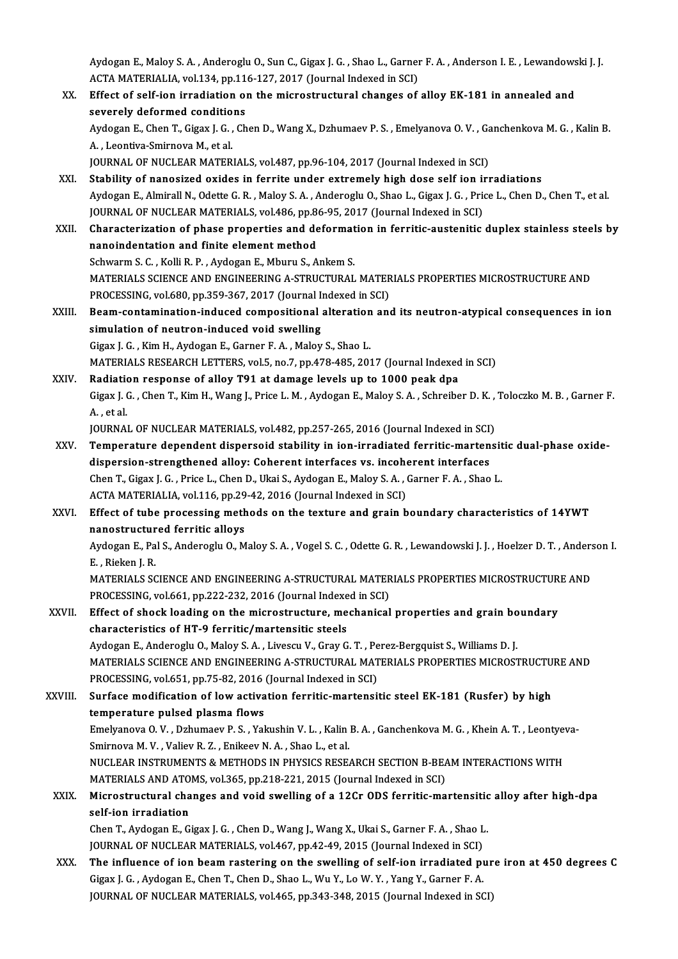Aydogan E., Maloy S. A. , Anderoglu O., Sun C., Gigax J. G. , Shao L., Garner F. A. , Anderson I. E. , Lewandowski J. J.<br>ACTA MATERIALIA, vel 134, pp.116,127, 2017, (Journal Indeved in SCL) Aydogan E., Maloy S. A. , Anderoglu O., Sun C., Gigax J. G. , Shao L., Garner<br>ACTA MATERIALIA, vol.134, pp.116-127, 2017 (Journal Indexed in SCI)<br>Effect of self ion innediction on the misrostrustural shanges of

Aydogan E., Maloy S. A. , Anderoglu O., Sun C., Gigax J. G. , Shao L., Garner F. A. , Anderson I. E. , Lewandows<br>ACTA MATERIALIA, vol.134, pp.116-127, 2017 (Journal Indexed in SCI)<br>XX. Effect of self-ion irradiation on the ACTA MATERIALIA, vol.134, pp.11<br>Effect of self-ion irradiation of<br>severely deformed conditions<br>Aydegan E. Chan T. Cigay L.C. Ch Effect of self-ion irradiation on the microstructural changes of alloy EK-181 in annealed and<br>severely deformed conditions<br>Aydogan E., Chen T., Gigax J. G. , Chen D., Wang X., Dzhumaev P. S. , Emelyanova O. V. , Ganchenkov severely deformed conditio<br>Aydogan E., Chen T., Gigax J. G. ,<br>A. , Leontiva-Smirnova M., et al.<br>JOUPNAL OF NUCLEAP MATER Aydogan E., Chen T., Gigax J. G. , Chen D., Wang X., Dzhumaev P. S. , Emelyanova O. V. , Ga<br>A. , Leontiva-Smirnova M., et al.<br>JOURNAL OF NUCLEAR MATERIALS, vol.487, pp.96-104, 2017 (Journal Indexed in SCI)<br>Stability of nan A., Leontiva-Smirnova M., et al.<br>JOURNAL OF NUCLEAR MATERIALS, vol.487, pp.96-104, 2017 (Journal Indexed in SCI)<br>XXI. Stability of nanosized oxides in ferrite under extremely high dose self ion irradiations Aydogan E., Almirall N., Odette G.R., Maloy S.A., Anderoglu O., Shao L., Gigax J.G., Price L., Chen D., Chen T., et al. Stability of nanosized oxides in ferrite under extremely high dose self ion in<br>Aydogan E., Almirall N., Odette G. R. , Maloy S. A. , Anderoglu O., Shao L., Gigax J. G. , Prio<br>JOURNAL OF NUCLEAR MATERIALS, vol.486, pp.86-95 XXII. Characterization of phase properties and deformation in ferritic-austenitic duplex stainless steels by<br>nanoindentation and finite element method JOURNAL OF NUCLEAR MATERIALS, vol.486, pp.8<br>Characterization of phase properties and denanoindentation and finite element method Schwarm S. C., Kolli R. P., Aydogan E., Mburu S., Ankem S. nanoindentation and finite element method<br>Schwarm S. C. , Kolli R. P. , Aydogan E., Mburu S., Ankem S.<br>MATERIALS SCIENCE AND ENGINEERING A-STRUCTURAL MATERIALS PROPERTIES MICROSTRUCTURE AND<br>PROCESSING .vel 680, pp.359, 367 Schwarm S. C. , Kolli R. P. , Aydogan E., Mburu S., Ankem S.<br>MATERIALS SCIENCE AND ENGINEERING A-STRUCTURAL MATER<br>PROCESSING, vol.680, pp.359-367, 2017 (Journal Indexed in SCI)<br>Beem contemination, induced compositional alt MATERIALS SCIENCE AND ENGINEERING A-STRUCTURAL MATERIALS PROPERTIES MICROSTRUCTURE AND<br>PROCESSING, vol.680, pp.359-367, 2017 (Journal Indexed in SCI)<br>XXIII. Beam-contamination-induced compositional alteration and its neutr PROCESSING, vol.680, pp.359-367, 2017 (Journal Indexed in SCI)<br>Beam-contamination-induced compositional alteration and<br>simulation of neutron-induced void swelling<br>Gigax J. G., Kim H., Aydogan E., Garner F. A., Maloy S., Sh Beam-contamination-induced compositional alteration<br>simulation of neutron-induced void swelling<br>Gigax J. G. , Kim H., Aydogan E., Garner F. A. , Maloy S., Shao L.<br>MATERIALS RESEARCH LETTERS .vel 5, p.e. 7, pp.479,495,201 MATERIALS RESEARCH LETTERS, vol.5, no.7, pp.478-485, 2017 (Journal Indexed in SCI) Gigax J. G. , Kim H., Aydogan E., Garner F. A. , Maloy S., Shao L.<br>MATERIALS RESEARCH LETTERS, vol.5, no.7, pp.478-485, 2017 (Journal Indexed<br>XXIV. Radiation response of alloy T91 at damage levels up to 1000 peak dpa Gigax J. G. , Chen T., Kim H., Wang J., Price L. M. , Aydogan E., Maloy S. A. , Schreiber D. K. , Toloczko M. B. , Garner F.<br>A. , et al. Radiatio<br>Gigax J. (<br>A. , et al.<br>IOUPNA) Gigax J. G. , Chen T., Kim H., Wang J., Price L. M. , Aydogan E., Maloy S. A. , Schreiber D. K. ,<br>A. , et al.<br>JOURNAL OF NUCLEAR MATERIALS, vol.482, pp.257-265, 2016 (Journal Indexed in SCI)<br>Temperature dependent dispersei A. , et al.<br>JOURNAL OF NUCLEAR MATERIALS, vol.482, pp.257-265, 2016 (Journal Indexed in SCI)<br>XXV. Temperature dependent dispersoid stability in ion-irradiated ferritic-martensitic dual-phase oxide-<br>dispersion strengthe JOURNAL OF NUCLEAR MATERIALS, vol.482, pp.257-265, 2016 (Journal Indexed in SCI)<br>Temperature dependent dispersoid stability in ion-irradiated ferritic-marten<br>dispersion-strengthened alloy: Coherent interfaces vs. incoheren Temperature dependent dispersoid stability in ion-irradiated ferritic-martensit<br>dispersion-strengthened alloy: Coherent interfaces vs. incoherent interfaces<br>Chen T., Gigax J. G. , Price L., Chen D., Ukai S., Aydogan E., Ma dispersion-strengthened alloy: Coherent interfaces vs. incoherent interfaces<br>Chen T., Gigax J. G., Price L., Chen D., Ukai S., Aydogan E., Maloy S. A., Garner F. A., Shao L.<br>ACTA MATERIALIA, vol.116, pp.29-42, 2016 (Journa XXVI. Effect of tube processing methods on the texture and grain boundary characteristics of 14YWT ACTA MATERIALIA, vol.116, pp.29<br>Effect of tube processing meth<br>nanostructured ferritic alloys<br>Aydegen E. Bal S. Anderegiu O. M Aydogan E., Pal S., Anderoglu O., Maloy S. A. , Vogel S. C. , Odette G. R. , Lewandowski J. J. , Hoelzer D. T. , Anderson I.<br>E. , Rieken J. R. **nanostructur<br>Aydogan E., Pa<br>E. , Rieken J. R.<br>MATERIALS SC** Aydogan E., Pal S., Anderoglu O., Maloy S. A. , Vogel S. C. , Odette G. R. , Lewandowski J. J. , Hoelzer D. T. , Anders<br>E. , Rieken J. R.<br>MATERIALS SCIENCE AND ENGINEERING A-STRUCTURAL MATERIALS PROPERTIES MICROSTRUCTURE A E. , Rieken J. R.<br>MATERIALS SCIENCE AND ENGINEERING A-STRUCTURAL MATER<br>PROCESSING, vol.661, pp.222-232, 2016 (Journal Indexed in SCI)<br>Effect of shock loading on the misrostrugture, mechanical MATERIALS SCIENCE AND ENGINEERING A-STRUCTURAL MATERIALS PROPERTIES MICROSTRUCTUR<br>PROCESSING, vol.661, pp.222-232, 2016 (Journal Indexed in SCI)<br>XXVII. Effect of shock loading on the microstructure, mechanical properties a PROCESSING, vol.661, pp.222-232, 2016 (Journal Indexe<br>Effect of shock loading on the microstructure, me<br>characteristics of HT-9 ferritic/martensitic steels<br>Auderen E. Anderesiu O. Meloy S.A., Livesgu V. Creu G Effect of shock loading on the microstructure, mechanical properties and grain boundary<br>characteristics of HT-9 ferritic/martensitic steels<br>Aydogan E., Anderoglu O., Maloy S. A. , Livescu V., Gray G. T. , Perez-Bergquist S characteristics of HT-9 ferritic/martensitic steels<br>Aydogan E., Anderoglu O., Maloy S. A. , Livescu V., Gray G. T. , Perez-Bergquist S., Williams D. J.<br>MATERIALS SCIENCE AND ENGINEERING A-STRUCTURAL MATERIALS PROPERTIES MI Aydogan E., Anderoglu O., Maloy S. A. , Livescu V., Gray G. T. , Pe<br>MATERIALS SCIENCE AND ENGINEERING A-STRUCTURAL MAT<br>PROCESSING, vol.651, pp.75-82, 2016 (Journal Indexed in SCI)<br>Surface modification of low activation for MATERIALS SCIENCE AND ENGINEERING A-STRUCTURAL MATERIALS PROPERTIES MICROSTRUCTU<br>PROCESSING, vol.651, pp.75-82, 2016 (Journal Indexed in SCI)<br>XXVIII. Surface modification of low activation ferritic-martensitic steel EK-181 PROCESSING, vol.651, pp.75-82, 2016<br>Surface modification of low activa<br>temperature pulsed plasma flows<br>Emelyaneva O. V., Drhumaev B. S., Vol. Surface modification of low activation ferritic-martensitic steel EK-181 (Rusfer) by high<br>temperature pulsed plasma flows<br>Emelyanova O. V. , Dzhumaev P. S. , Yakushin V. L. , Kalin B. A. , Ganchenkova M. G. , Khein A. T. , te<mark>mperature pulsed plasma flows</mark><br>Emelyanova O. V. , Dzhumaev P. S. , Yakushin V. L. , Kalin<br>Smirnova M. V. , Valiev R. Z. , Enikeev N. A. , Shao L., et al.<br>NUCLEAR INSTRUMENTS & METHODS IN RHYSICS RESE. Emelyanova O. V. , Dzhumaev P. S. , Yakushin V. L. , Kalin B. A. , Ganchenkova M. G. , Khein A. T. , Leontyev<br>Smirnova M. V. , Valiev R. Z. , Enikeev N. A. , Shao L., et al.<br>NUCLEAR INSTRUMENTS & METHODS IN PHYSICS RESEARC Smirnova M. V. , Valiev R. Z. , Enikeev N. A. , Shao L., et al.<br>NUCLEAR INSTRUMENTS & METHODS IN PHYSICS RESEARCH SECTION B-BEAM INTERACTIONS WITH NUCLEAR INSTRUMENTS & METHODS IN PHYSICS RESEARCH SECTION B-BEAM INTERACTIONS WITH<br>MATERIALS AND ATOMS, vol.365, pp.218-221, 2015 (Journal Indexed in SCI)<br>XXIX. Microstructural changes and void swelling of a 12Cr ODS ferri MATERIALS AND ATOMS, vol.365, pp.218-221, 2015 (Journal Indexed in SCI)<br>Microstructural changes and void swelling of a 12Cr ODS ferritic-ma<br>self-ion irradiation Microstructural changes and void swelling of a 12Cr ODS ferritic-martensitic<br>self-ion irradiation<br>Chen T., Aydogan E., Gigax J. G. , Chen D., Wang J., Wang X., Ukai S., Garner F. A. , Shao L.<br>JOUPMAL OF NUCLEAR MATERIALS, Chen T., Aydogan E., Gigax J. G. , Chen D., Wang J., Wang X., Ukai S., Garner F. A. , Shao L.<br>JOURNAL OF NUCLEAR MATERIALS, vol.467, pp.42-49, 2015 (Journal Indexed in SCI) XXX. The influence of ion beam rastering on the swelling of self-ion irradiated pure iron at 450 degrees C Gigax J.G. ,AydoganE.,ChenT.,ChenD.,Shao L.,WuY.,LoW.Y. ,YangY.,Garner F.A.

JOURNAL OF NUCLEAR MATERIALS, vol.465, pp.343-348, 2015 (Journal Indexed in SCI)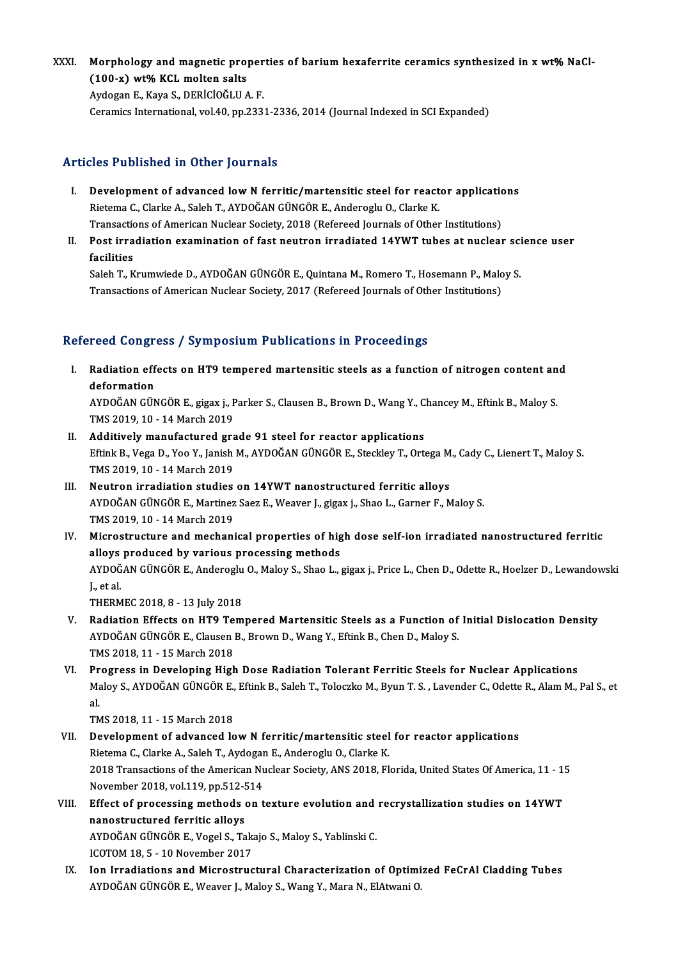XXXI. Morphology and magnetic properties of barium hexaferrite ceramics synthesized in x wt% NaCl-<br>(199 x) wt% KGL melten salte Morphology and magnetic pro<br>(100-x) wt% KCL molten salts<br>Avdogan E. Kava S. DERICIOČLUA

(100-x) wt% KCL molten salts<br>Aydogan E., Kaya S., DERİCİOĞLU A.F. Ceramics International, vol.40, pp.2331-2336, 2014 (Journal Indexed in SCI Expanded)

# Articles Published in Other Journals

- rticles Published in Other Journals<br>I. Development of advanced low N ferritic/martensitic steel for reactor applications<br>Ristama C Clarke A, Salah T, AVDOČAN CÜNCÖB E, Anderegiu O, Clarke K Riete Tubriencu in Other Journalis<br>Development of advanced low N ferritic/martensitic steel for react<br>Rietema C., Clarke A., Saleh T., AYDOĞAN GÜNGÖR E., Anderoglu O., Clarke K.<br>Transastians of American Nuclear Society, 20 Development of advanced low N ferritic/martensitic steel for reactor application<br>Rietema C., Clarke A., Saleh T., AYDOĞAN GÜNGÖR E., Anderoglu O., Clarke K.<br>Transactions of American Nuclear Society, 2018 (Refereed Journals Rietema C., Clarke A., Saleh T., AYDOĞAN GÜNGÖR E., Anderoglu O., Clarke K.<br>Transactions of American Nuclear Society, 2018 (Refereed Journals of Other Institutions)<br>II. Post irradiation examination of fast neutron irradiat
- Transaction<br>Post irra<br>facilities<br>Salah Tuk Post irradiation examination of fast neutron irradiated 14YWT tubes at nuclear sci<br>facilities<br>Saleh T., Krumwiede D., AYDOĞAN GÜNGÖR E., Quintana M., Romero T., Hosemann P., Maloy S.<br>Transastians of American Nuclear Seciet

facilities<br>Saleh T., Krumwiede D., AYDOĞAN GÜNGÖR E., Quintana M., Romero T., Hosemann P., Maloy S.<br>Transactions of American Nuclear Society, 2017 (Refereed Journals of Other Institutions)

# Refereed Congress / Symposium Publications in Proceedings

- efereed Congress / Symposium Publications in Proceedings<br>I. Radiation effects on HT9 tempered martensitic steels as a function of nitrogen content and<br>defermation rood congre<br>Radiation eff<br>deformation<br>AVDOČAN CÜN Radiation effects on HT9 tempered martensitic steels as a function of nitrogen content an<br>deformation<br>AYDOĞAN GÜNGÖR E., gigax j., Parker S., Clausen B., Brown D., Wang Y., Chancey M., Eftink B., Maloy S.<br>TMS 2019 10, 14 M deformation<br>AYDOĞAN GÜNGÖR E., gigax j., Parker S., Clausen B., Brown D., Wang Y., Chancey M., Eftink B., Maloy S.<br>TMS 2019, 10 - 14 March 2019
- AYDOĞAN GÜNGÖR E., gigax j., Parker S., Clausen B., Brown D., Wang Y., C<br>TMS 2019, 10 14 March 2019<br>II. Additively manufactured grade 91 steel for reactor applications<br>F<sup>erink B.</sub> Vega D. Vee V. Japish M. AYDOĞAN CÜNGÖB </sup> Eftink B., Vega D., Yoo Y., Janish M., AYDOĞAN GÜNGÖR E., Steckley T., Ortega M., Cady C., Lienert T., Maloy S.<br>TMS 2019, 10 - 14 March 2019 Additively manufactured gra<br>Eftink B., Vega D., Yoo Y., Janish<br>TMS 2019, 10 - 14 March 2019<br>Noutron innediation studies
- III. Neutron irradiation studies on 14YWT nanostructured ferritic alloys TMS 2019, 10 - 14 March 2019<br>Neutron irradiation studies on 14YWT nanostructured ferritic alloys<br>AYDOĞAN GÜNGÖR E., Martinez Saez E., Weaver J., gigax j., Shao L., Garner F., Maloy S.<br>TMS 2019, 10 - 14 March 2019 Neutron irradiation studies<br>AYDOĞAN GÜNGÖR E., Martinez<br>TMS 2019, 10 - 14 March 2019<br>Mianostrusture and mashani AYDOĞAN GÜNGÖR E., Martinez Saez E., Weaver J., gigax j., Shao L., Garner F., Maloy S.<br>TMS 2019, 10 - 14 March 2019<br>IV. Microstructure and mechanical properties of high dose self-ion irradiated nanostructured ferritic<br>allo
- TMS 2019, 10 14 March 2019<br>Microstructure and mechanical properties of hig<br>alloys produced by various processing methods<br>AYDOČAN CÜNCÖP E. Anderesiu O. Maley S. Shee L. Microstructure and mechanical properties of high dose self-ion irradiated nanostructured ferritic<br>alloys produced by various processing methods<br>AYDOĞAN GÜNGÖR E., Anderoglu O., Maloy S., Shao L., gigax j., Price L., Chen D alloys produced by various processing methods<br>AYDOĞAN GÜNGÖR E., Anderoglu O., Maloy S., Shao L.,<br>J., et al.<br>THERMEC 2018, 8 - 13 July 2018 AYDOĞAN GÜNGÖR E., Anderoglu O., Maloy S., Shao L., gigax j., Price L., Chen D., Odette R., Hoelzer D., Lewandowski
	-
- V. Radiation Effects on HT9 Tempered Martensitic Steels as a Function of Initial Dislocation Density THERMEC 2018, 8 - 13 July 2018<br>Radiation Effects on HT9 Tempered Martensitic Steels as a Function of<br>AYDOĞAN GÜNGÖR E., Clausen B., Brown D., Wang Y., Eftink B., Chen D., Maloy S.<br>TMS 2019, 11 - 15 March 2019 Radiation Effects on HT9 Te<br>AYDOĞAN GÜNGÖR E., Clausen<br>TMS 2018, 11 - 15 March 2018<br>Progress in Developing High AYDOĞAN GÜNGÖR E., Clausen B., Brown D., Wang Y., Eftink B., Chen D., Maloy S.<br>TMS 2018, 11 - 15 March 2018<br>VI. Progress in Developing High Dose Radiation Tolerant Ferritic Steels for Nuclear Applications<br>Maloy S. AYDOĞAN
- TMS 2018, 11 15 March 2018<br>Progress in Developing High Dose Radiation Tolerant Ferritic Steels for Nuclear Applications<br>Maloy S., AYDOĞAN GÜNGÖR E., Eftink B., Saleh T., Toloczko M., Byun T. S. , Lavender C., Odette R., Pr<br>Ma<br>al<br>Th Maloy S., AYDOĞAN GÜNGÖR E.,<br>al.<br>TMS 2018, 11 - 15 March 2018<br>Development of advanced le al.<br>TMS 2018, 11 - 15 March 2018<br>VII. Development of advanced low N ferritic/martensitic steel for reactor applications

- TMS 2018, 11 15 March 2018<br>Development of advanced low N ferritic/martensitic steel<br>Rietema C., Clarke A., Saleh T., Aydogan E., Anderoglu O., Clarke K.<br>2018 Transastions of the American Nuclear Sasisty, ANS 2019, Fl 2018 Transactions of the American Nuclear Society, ANS 2018, Florida, United States Of America, 11 - 15<br>November 2018, vol.119, pp.512-514 Rietema C., Clarke A., Saleh T., Aydogar<br>2018 Transactions of the American Nu<br>November 2018, vol.119, pp.512-514<br>Effect of processing mathods on t 2018 Transactions of the American Nuclear Society, ANS 2018, Florida, United States Of America, 11 - 1!<br>November 2018, vol.119, pp.512-514<br>VIII. Effect of processing methods on texture evolution and recrystallization studi
- November 2018, vol.119, pp.512-5<br>Effect of processing methods<br>nanostructured ferritic alloys<br>AVDOČAN CÜNCÖP E Vegel S. To Effect of processing methods on texture evolution and<br>nanostructured ferritic alloys<br>AYDOĞAN GÜNGÖR E., Vogel S., Takajo S., Maloy S., Yablinski C.<br>ICOTOM 18.5. - 10 Navambar 2017 nanostructured ferritic alloys<br>AYDOĞAN GÜNGÖR E., Vogel S., Takajo S., Maloy S., Yablinski C.<br>ICOTOM 18, 5 - 10 November 2017
- IX. Ion Irradiations and Microstructural Characterization of Optimized FeCrAl Cladding Tubes AYDOĞAN GÜNGÖR E., Weaver J., Maloy S., Wang Y., Mara N., ElAtwani O.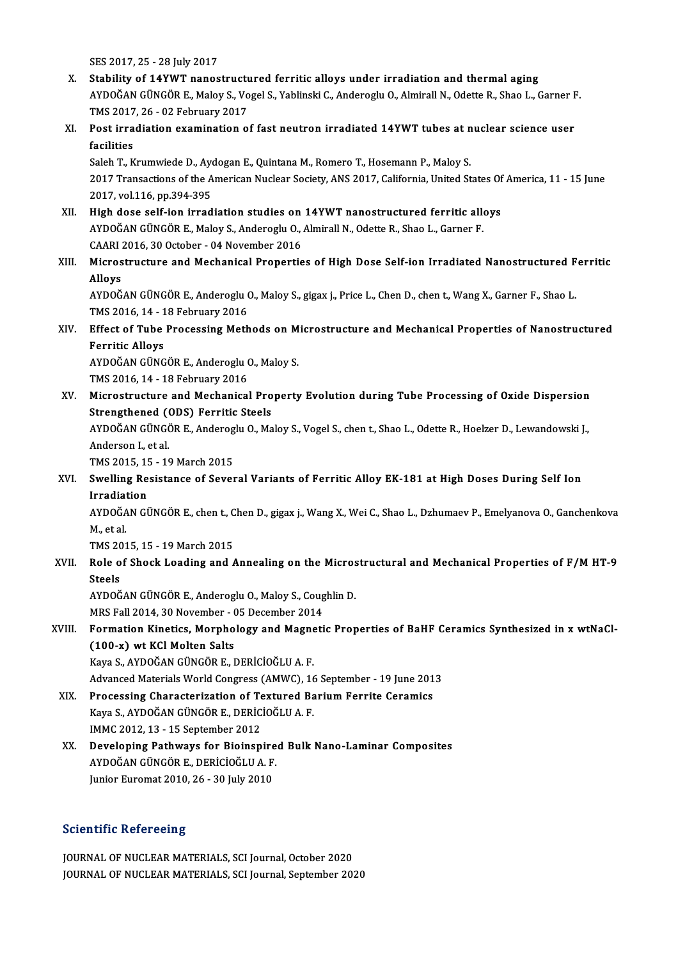SES2017,25 -28 July2017

- X. Stability of 14YWT nanostructured ferritic alloys under irradiation and thermal aging SES 2017, 25 - 28 July 2017<br>Stability of 14YWT nanostructured ferritic alloys under irradiation and thermal aging<br>AYDOĞAN GÜNGÖR E., Maloy S., Vogel S., Yablinski C., Anderoglu O., Almirall N., Odette R., Shao L., Garner F Stability of 14YWT nanostructu<br>AYDOĞAN GÜNGÖR E., Maloy S., Vo<br>TMS 2017, 26 - 02 February 2017<br>Post innodiation exemination e AYDOĞAN GÜNGÖR E., Maloy S., Vogel S., Yablinski C., Anderoglu O., Almirall N., Odette R., Shao L., Garner F<br>TMS 2017, 26 - 02 February 2017<br>XI. Post irradiation examination of fast neutron irradiated 14YWT tubes at nuclea
- TMS 2017<br>Post irra<br>facilities<br>Salah T-K Post irradiation examination of fast neutron irradiated 14YWT tubes at n<br>facilities<br>Saleh T., Krumwiede D., Aydogan E., Quintana M., Romero T., Hosemann P., Maloy S.<br>2017 Transastions of the American Nuclear Society, ANS 2

facilities<br>Saleh T., Krumwiede D., Aydogan E., Quintana M., Romero T., Hosemann P., Maloy S.<br>2017 Transactions of the American Nuclear Society, ANS 2017, California, United States Of America, 11 - 15 June<br>2017, vol.116, pp Saleh T., Krumwiede D., Aydogan E., Quintana M., Romero T., Hosemann P., Maloy S.

- XII. High dose self-ion irradiation studies on 14YWT nanostructured ferritic alloys 2017, vol.116, pp.394-395<br>High dose self-ion irradiation studies on 14YWT nanostructured ferritic alle<br>AYDOĞAN GÜNGÖR E., Maloy S., Anderoglu O., Almirall N., Odette R., Shao L., Garner F.<br>CAAPL 2016-20 October - 04 Nevemb High dose self-ion irradiation studies on<br>AYDOĞAN GÜNGÖR E., Maloy S., Anderoglu O., .<br>CAARI 2016, 30 October - 04 November 2016<br>Misrostrusture and Mosbanisal Proportia
- AYDOĞAN GÜNGÖR E., Maloy S., Anderoglu O., Almirall N., Odette R., Shao L., Garner F.<br>CAARI 2016, 30 October 04 November 2016<br>XIII. Microstructure and Mechanical Properties of High Dose Self-ion Irradiated Nanostructured CAARI<br>Micros<br>Alloys<br>A<sup>VDOČ</sup> Microstructure and Mechanical Properties of High Dose Self-ion Irradiated Nanostructured F<br>Alloys<br>AYDOĞAN GÜNGÖR E., Anderoglu O., Maloy S., gigax j., Price L., Chen D., chen t., Wang X., Garner F., Shao L.<br>TMS 2016 14 - 1

Alloys<br>AYDOĞAN GÜNGÖR E., Anderoglu (<br>TMS 2016, 14 - 18 February 2016<br>Effect of Tube Prosessing Meth AYDOĞAN GÜNGÖR E., Anderoglu O., Maloy S., gigax j., Price L., Chen D., chen t., Wang X., Garner F., Shao L.<br>TMS 2016, 14 - 18 February 2016<br>XIV. Effect of Tube Processing Methods on Microstructure and Mechanical Propertie

# TMS 2016, 14 - 1<br>Effect of Tube<br>Ferritic Alloys<br>AYDOČAN CÜNC Effect of Tube Processing Methods on M<br>Ferritic Alloys<br>AYDOĞAN GÜNGÖR E., Anderoglu O., Maloy S.<br>TMS 2016 14, 19 February 2016

Ferritic Alloys<br>AYDOĞAN GÜNGÖR E., Anderoglu O., Maloy S.<br>TMS 2016, 14 - 18 February 2016

- AYDOĞAN GÜNGÖR E., Anderoglu O., Maloy S.<br>TMS 2016, 14 18 February 2016<br>XV. Microstructure and Mechanical Property Evolution during Tube Processing of Oxide Dispersion<br>Strongthoned (ODS) Ferritis Steels TMS 2016, 14 - 18 February 2016<br>Microstructure and Mechanical Pro<br>Strengthened (ODS) Ferritic Steels<br>AVDOČAN CÜNCÖP E. Anderegiu O. Ma Microstructure and Mechanical Property Evolution during Tube Processing of Oxide Dispersion<br>Strengthened (ODS) Ferritic Steels<br>AYDOĞAN GÜNGÖR E., Anderoglu O., Maloy S., Vogel S., chen t., Shao L., Odette R., Hoelzer D., L Strengthened (ODS) Ferritic Steels<br>AYDOĞAN GÜNGÖR E., Anderoglu O., Ma<br>Anderson I., et al. AYDOĞAN GÜNGÖR E., Anderog<br>Anderson I., et al.<br>TMS 2015, 15 - 19 March 2015<br>Swalling Bosistance of Seyer TMS 2015, 15 - 19 March 2015
- XVI. Swelling Resistance of Several Variants of Ferritic Alloy EK-181 at High Doses During Self Ion<br>Irradiation Swelling Resistance of Several Variants of Ferritic Alloy EK-181 at High Doses During Self Ion<br>Irradiation<br>AYDOĞAN GÜNGÖR E., chen t., Chen D., gigax j., Wang X., Wei C., Shao L., Dzhumaev P., Emelyanova O., Ganchenkova<br>M.

I<mark>rradia</mark>t<br>AYDOĞA<br>M., et al.<br>TMS 201 AYDOĞAN GÜNGÖR E., chen t., C<br>M., et al.<br>TMS 2015, 15 - 19 March 2015<br>Bele ef Sheek Leeding and 4

M., et al.<br>TMS 2015, 15 - 19 March 2015<br>XVII. Role of Shock Loading and Annealing on the Microstructural and Mechanical Properties of F/M HT-9<br>Stoole TMS 20<br>Role o<br>Steels Role of Shock Loading and Annealing on the Micros<br>Steels<br>AYDOĞAN GÜNGÖR E., Anderoglu O., Maloy S., Coughlin D.<br>MPS Fell 2014, 20 Nevember, 05 December 2014

Steels<br>AYDOĞAN GÜNGÖR E., Anderoglu O., Maloy S., Coug<br>MRS Fall 2014, 30 November - 05 December 2014<br>Formation Kinotics, Marnbelasy and Masneti

# AYDOĞAN GÜNGÖR E., Anderoglu O., Maloy S., Coughlin D.<br>MRS Fall 2014, 30 November - 05 December 2014<br>XVIII. Formation Kinetics, Morphology and Magnetic Properties of BaHF Ceramics Synthesized in x wtNaCl-<br>(100 F) ut KGl Mo MRS Fall 2014, 30 November - (<br>Formation Kinetics, Morpho<br>(100-x) wt KCl Molten Salts<br><sup>Vous S.</sup> AVPOČAN CÜNCÖB E. L Formation Kinetics, Morphology and Magne<br>(100-x) wt KCl Molten Salts<br>Kaya S., AYDOĞAN GÜNGÖR E., DERİCİOĞLU A. F.<br>Advanced Materials Werld Congress (AMWC) 16 (100-x) wt KCl Molten Salts<br>Kaya S., AYDOĞAN GÜNGÖR E., DERİCİOĞLU A. F.<br>Advanced Materials World Congress (AMWC), 16 September - 19 June 2013<br>Processing Characterization of Textured Barium Ferrite Coremics

Kaya S., AYDOĞAN GÜNGÖR E., DERİCİOĞLU A. F.<br>Advanced Materials World Congress (AMWC), 16 September - 19 June 201<br>XIX. Processing Characterization of Textured Barium Ferrite Ceramics<br>Kaya S., AYDOĞAN GÜNGÖR E., DERİCİOĞLU

Advanced Materials World Congress (AMWC), 16<br>Processing Characterization of Textured Ba<br>Kaya S., AYDOĞAN GÜNGÖR E., DERİCİOĞLU A. F.<br>IMMC 2012-12-15 Sentember 2012 IMMC2012,13 -15 September 2012

Kaya S., AYDOĞAN GÜNGÖR E., DERİCİOĞLU A. F.<br>IMMC 2012, 13 - 15 September 2012<br>XX. Developing Pathways for Bioinspired Bulk Nano-Laminar Composites<br>AVDOĞAN CÜNGÖR E. DERİCİOĞLU A. E IMMC 2012, 13 - 15 September 2012<br>Developing Pathways for Bioinspire<br>AYDOĞAN GÜNGÖR E., DERİCİOĞLU A. F.<br>Junier Euremet 2010, 26 - 20 July 2010 De<mark>veloping Pathways for Bioinspire</mark><br>AYDOĞAN GÜNGÖR E., DERİCİOĞLU A. F.<br>Junior Euromat 2010, 26 - 30 July 2010 Junior Euromat 2010, 26 - 30 July 2010<br>Scientific Refereeing

Scientific Refereeing<br>JOURNAL OF NUCLEAR MATERIALS, SCI Journal, October 2020<br>JOURNAL OF NUCLEAR MATERIALS, SCI Journal, Sontomber 201 BETETTING NETETEETING<br>JOURNAL OF NUCLEAR MATERIALS, SCI Journal, October 2020<br>JOURNAL OF NUCLEAR MATERIALS, SCI Journal, September 2020